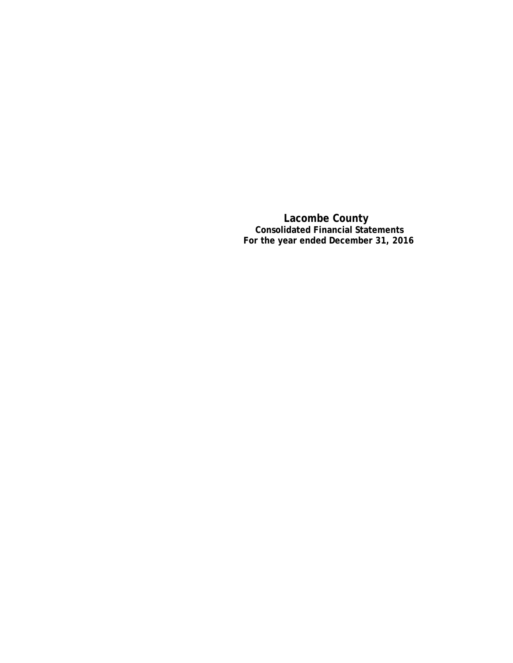**Lacombe County Consolidated Financial Statements For the year ended December 31, 2016**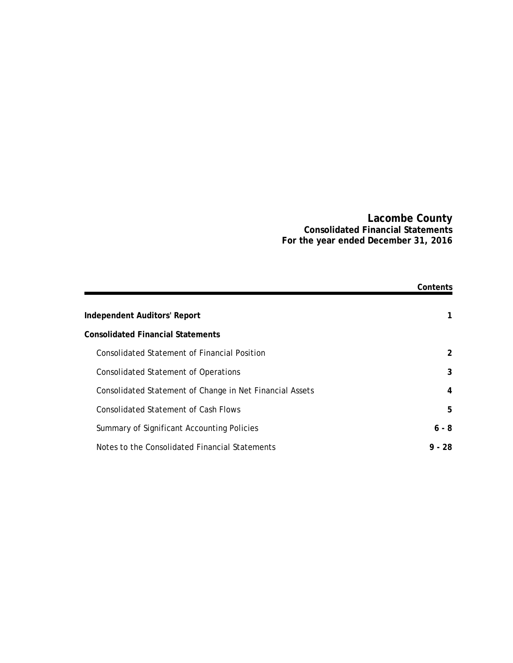### **Lacombe County Consolidated Financial Statements For the year ended December 31, 2016**

|                                                          | Contents |
|----------------------------------------------------------|----------|
|                                                          |          |
| <b>Independent Auditors' Report</b>                      | 1.       |
| <b>Consolidated Financial Statements</b>                 |          |
| Consolidated Statement of Financial Position             | 2        |
| <b>Consolidated Statement of Operations</b>              | 3        |
| Consolidated Statement of Change in Net Financial Assets | 4        |
| <b>Consolidated Statement of Cash Flows</b>              | 5        |
| Summary of Significant Accounting Policies               | $6 - 8$  |
| Notes to the Consolidated Financial Statements           | $9 - 28$ |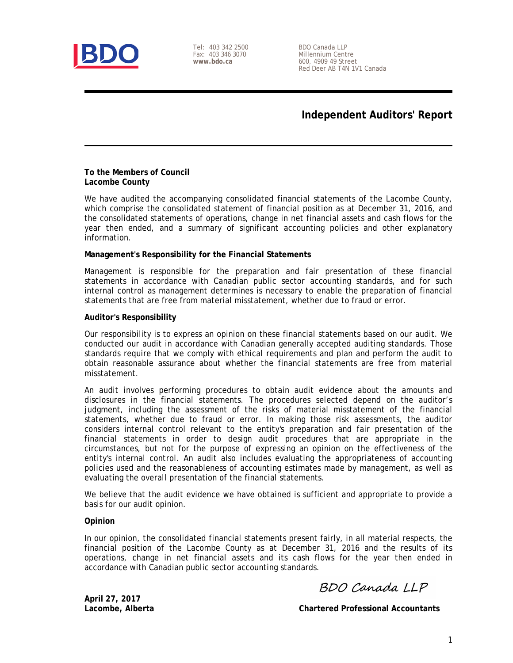

Tel: 403 342 2500 Fax: 403 346 3070 **www.bdo.ca**

BDO Canada LLP Millennium Centre 600, 4909 49 Street Red Deer AB T4N 1V1 Canada

# **Independent Auditors' Report**

#### **To the Members of Council Lacombe County**

We have audited the accompanying consolidated financial statements of the Lacombe County, which comprise the consolidated statement of financial position as at December 31, 2016, and the consolidated statements of operations, change in net financial assets and cash flows for the year then ended, and a summary of significant accounting policies and other explanatory information.

### **Management's Responsibility for the Financial Statements**

Management is responsible for the preparation and fair presentation of these financial statements in accordance with Canadian public sector accounting standards, and for such internal control as management determines is necessary to enable the preparation of financial statements that are free from material misstatement, whether due to fraud or error.

### **Auditor's Responsibility**

Our responsibility is to express an opinion on these financial statements based on our audit. We conducted our audit in accordance with Canadian generally accepted auditing standards. Those standards require that we comply with ethical requirements and plan and perform the audit to obtain reasonable assurance about whether the financial statements are free from material misstatement.

An audit involves performing procedures to obtain audit evidence about the amounts and disclosures in the financial statements. The procedures selected depend on the auditor's judgment, including the assessment of the risks of material misstatement of the financial statements, whether due to fraud or error. In making those risk assessments, the auditor considers internal control relevant to the entity's preparation and fair presentation of the financial statements in order to design audit procedures that are appropriate in the circumstances, but not for the purpose of expressing an opinion on the effectiveness of the entity's internal control. An audit also includes evaluating the appropriateness of accounting policies used and the reasonableness of accounting estimates made by management, as well as evaluating the overall presentation of the financial statements.

We believe that the audit evidence we have obtained is sufficient and appropriate to provide a basis for our audit opinion.

### **Opinion**

In our opinion, the consolidated financial statements present fairly, in all material respects, the financial position of the Lacombe County as at December 31, 2016 and the results of its operations, change in net financial assets and its cash flows for the year then ended in accordance with Canadian public sector accounting standards.

BDO Canada LLP

**April 27, 2017**

**Lacombe, Alberta Chartered Professional Accountants**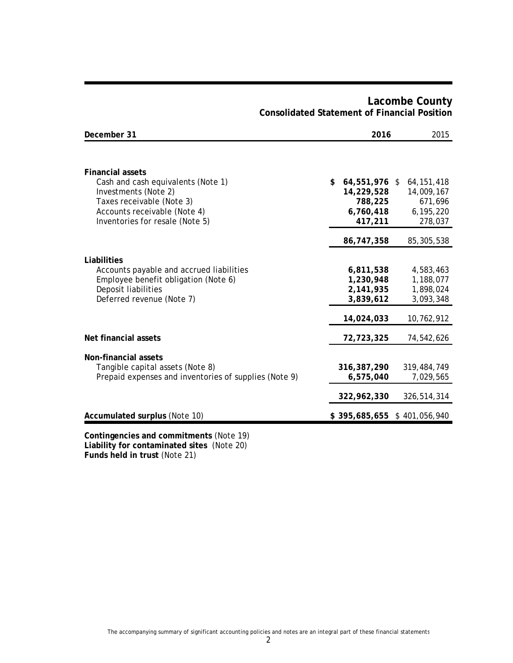| December 31                                                                                                                                                                           | 2016                                                                 | 2015                                                          |
|---------------------------------------------------------------------------------------------------------------------------------------------------------------------------------------|----------------------------------------------------------------------|---------------------------------------------------------------|
|                                                                                                                                                                                       |                                                                      |                                                               |
| <b>Financial assets</b><br>Cash and cash equivalents (Note 1)<br>Investments (Note 2)<br>Taxes receivable (Note 3)<br>Accounts receivable (Note 4)<br>Inventories for resale (Note 5) | \$<br>64,551,976 \$<br>14,229,528<br>788,225<br>6,760,418<br>417,211 | 64, 151, 418<br>14,009,167<br>671,696<br>6,195,220<br>278,037 |
|                                                                                                                                                                                       | 86,747,358                                                           | 85,305,538                                                    |
| Liabilities<br>Accounts payable and accrued liabilities<br>Employee benefit obligation (Note 6)<br>Deposit liabilities<br>Deferred revenue (Note 7)                                   | 6,811,538<br>1,230,948<br>2,141,935<br>3,839,612                     | 4,583,463<br>1,188,077<br>1,898,024<br>3,093,348              |
|                                                                                                                                                                                       | 14,024,033                                                           | 10,762,912                                                    |
| Net financial assets                                                                                                                                                                  | 72,723,325                                                           | 74,542,626                                                    |
| Non-financial assets<br>Tangible capital assets (Note 8)<br>Prepaid expenses and inventories of supplies (Note 9)                                                                     | 316, 387, 290<br>6,575,040                                           | 319,484,749<br>7,029,565                                      |
|                                                                                                                                                                                       | 322,962,330                                                          | 326,514,314                                                   |
| Accumulated surplus (Note 10)                                                                                                                                                         | \$395,685,655                                                        | \$401,056,940                                                 |
| Contingencies and commitments (Note 19)                                                                                                                                               |                                                                      |                                                               |

# **Lacombe County Consolidated Statement of Financial Position**

**Liability for contaminated sites** (Note 20) **Funds held in trust** (Note 21)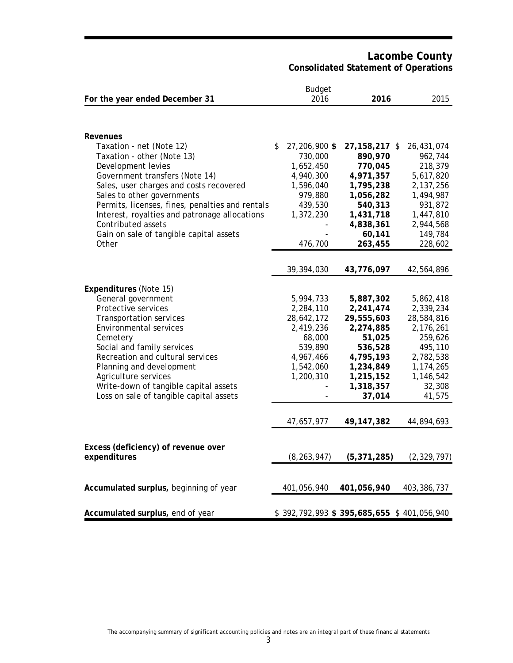**Lacombe County Consolidated Statement of Operations**

|                                                 | <b>Budget</b>       |                                           |               |
|-------------------------------------------------|---------------------|-------------------------------------------|---------------|
| For the year ended December 31                  | 2016                | 2016                                      | 2015          |
|                                                 |                     |                                           |               |
| <b>Revenues</b>                                 |                     |                                           |               |
| Taxation - net (Note 12)                        | \$<br>27,206,900 \$ | 27,158,217 \$                             | 26,431,074    |
| Taxation - other (Note 13)                      | 730,000             | 890,970                                   | 962,744       |
| Development levies                              | 1,652,450           | 770,045                                   | 218,379       |
| Government transfers (Note 14)                  | 4,940,300           | 4,971,357                                 | 5,617,820     |
| Sales, user charges and costs recovered         | 1,596,040           | 1,795,238                                 | 2,137,256     |
| Sales to other governments                      | 979,880             | 1,056,282                                 | 1,494,987     |
| Permits, licenses, fines, penalties and rentals | 439,530             | 540,313                                   | 931,872       |
| Interest, royalties and patronage allocations   | 1,372,230           | 1,431,718                                 | 1,447,810     |
| Contributed assets                              |                     | 4,838,361                                 | 2,944,568     |
| Gain on sale of tangible capital assets         |                     | 60,141                                    | 149,784       |
| Other                                           | 476,700             | 263,455                                   | 228,602       |
|                                                 |                     |                                           |               |
|                                                 | 39,394,030          | 43,776,097                                | 42,564,896    |
| Expenditures (Note 15)                          |                     |                                           |               |
| General government                              | 5,994,733           | 5,887,302                                 | 5,862,418     |
| Protective services                             | 2,284,110           | 2,241,474                                 | 2,339,234     |
| <b>Transportation services</b>                  | 28,642,172          | 29,555,603                                | 28,584,816    |
| <b>Environmental services</b>                   | 2,419,236           | 2,274,885                                 | 2,176,261     |
| Cemetery                                        | 68,000              | 51,025                                    | 259,626       |
| Social and family services                      | 539,890             | 536,528                                   | 495,110       |
| Recreation and cultural services                | 4,967,466           | 4,795,193                                 | 2,782,538     |
| Planning and development                        | 1,542,060           | 1,234,849                                 | 1,174,265     |
| Agriculture services                            | 1,200,310           | 1,215,152                                 | 1,146,542     |
| Write-down of tangible capital assets           |                     | 1,318,357                                 | 32,308        |
| Loss on sale of tangible capital assets         |                     | 37,014                                    | 41,575        |
|                                                 |                     |                                           |               |
|                                                 | 47,657,977          | 49, 147, 382                              | 44,894,693    |
|                                                 |                     |                                           |               |
| Excess (deficiency) of revenue over             |                     |                                           |               |
| expenditures                                    | (8, 263, 947)       | (5, 371, 285)                             | (2, 329, 797) |
|                                                 |                     |                                           |               |
| Accumulated surplus, beginning of year          | 401,056,940         | 401,056,940                               | 403,386,737   |
|                                                 |                     |                                           |               |
| Accumulated surplus, end of year                |                     | \$392,792,993 \$395,685,655 \$401,056,940 |               |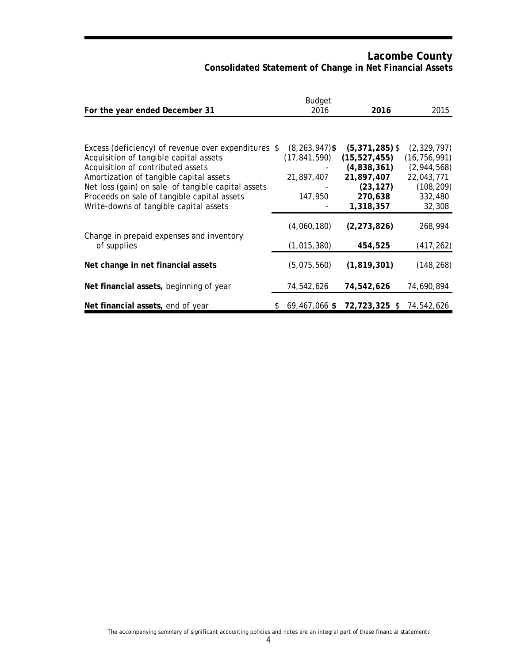# **Lacombe County Consolidated Statement of Change in Net Financial Assets**

| For the year ended December 31                                                                                                                                                                                                                                                                                               | <b>Budget</b><br>2016                                         | 2016                                                                                                 | 2015                                                                                            |
|------------------------------------------------------------------------------------------------------------------------------------------------------------------------------------------------------------------------------------------------------------------------------------------------------------------------------|---------------------------------------------------------------|------------------------------------------------------------------------------------------------------|-------------------------------------------------------------------------------------------------|
|                                                                                                                                                                                                                                                                                                                              |                                                               |                                                                                                      |                                                                                                 |
| Excess (deficiency) of revenue over expenditures \$<br>Acquisition of tangible capital assets<br>Acquisition of contributed assets<br>Amortization of tangible capital assets<br>Net loss (gain) on sale of tangible capital assets<br>Proceeds on sale of tangible capital assets<br>Write-downs of tangible capital assets | $(8, 263, 947)$ \$<br>(17, 841, 590)<br>21,897,407<br>147,950 | $(5,371,285)$ \$<br>(15, 527, 455)<br>(4,838,361)<br>21,897,407<br>(23, 127)<br>270,638<br>1,318,357 | (2, 329, 797)<br>(16, 756, 991)<br>(2,944,568)<br>22,043,771<br>(108, 209)<br>332,480<br>32,308 |
| Change in prepaid expenses and inventory<br>of supplies                                                                                                                                                                                                                                                                      | (4,060,180)<br>(1,015,380)                                    | (2, 273, 826)<br>454,525                                                                             | 268,994<br>(417, 262)                                                                           |
| Net change in net financial assets                                                                                                                                                                                                                                                                                           | (5,075,560)                                                   | (1,819,301)                                                                                          | (148, 268)                                                                                      |
| Net financial assets, beginning of year                                                                                                                                                                                                                                                                                      | 74,542,626                                                    | 74,542,626                                                                                           | 74,690,894                                                                                      |
| Net financial assets, end of year                                                                                                                                                                                                                                                                                            | $$69,467,066$ \$                                              | 72,723,325 \$                                                                                        | 74,542,626                                                                                      |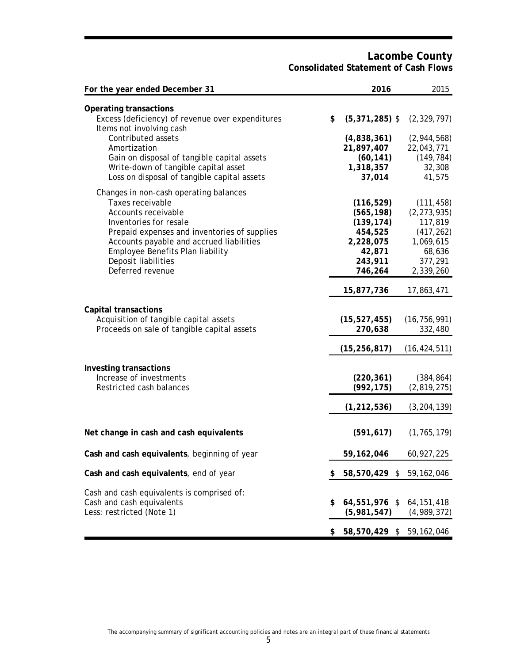## **Lacombe County Consolidated Statement of Cash Flows**

| For the year ended December 31                                                                                                                                                                                                                                                            |    | 2016                                                                                           | 2015                                                                                                |
|-------------------------------------------------------------------------------------------------------------------------------------------------------------------------------------------------------------------------------------------------------------------------------------------|----|------------------------------------------------------------------------------------------------|-----------------------------------------------------------------------------------------------------|
| <b>Operating transactions</b><br>Excess (deficiency) of revenue over expenditures<br>Items not involving cash<br>Contributed assets<br>Amortization<br>Gain on disposal of tangible capital assets<br>Write-down of tangible capital asset<br>Loss on disposal of tangible capital assets | \$ | $(5,371,285)$ \$<br>(4,838,361)<br>21,897,407<br>(60, 141)<br>1,318,357<br>37,014              | (2, 329, 797)<br>(2,944,568)<br>22,043,771<br>(149, 784)<br>32,308<br>41,575                        |
| Changes in non-cash operating balances<br>Taxes receivable<br>Accounts receivable<br>Inventories for resale<br>Prepaid expenses and inventories of supplies<br>Accounts payable and accrued liabilities<br>Employee Benefits Plan liability<br>Deposit liabilities<br>Deferred revenue    |    | (116, 529)<br>(565, 198)<br>(139, 174)<br>454,525<br>2,228,075<br>42,871<br>243,911<br>746,264 | (111, 458)<br>(2, 273, 935)<br>117,819<br>(417, 262)<br>1,069,615<br>68,636<br>377,291<br>2,339,260 |
| <b>Capital transactions</b><br>Acquisition of tangible capital assets<br>Proceeds on sale of tangible capital assets                                                                                                                                                                      |    | 15,877,736<br>(15, 527, 455)<br>270,638<br>(15, 256, 817)                                      | 17,863,471<br>(16, 756, 991)<br>332,480<br>(16, 424, 511)                                           |
| Investing transactions<br>Increase of investments<br>Restricted cash balances                                                                                                                                                                                                             |    | (220, 361)<br>(992, 175)<br>(1, 212, 536)                                                      | (384, 864)<br>(2,819,275)<br>(3, 204, 139)                                                          |
| Net change in cash and cash equivalents                                                                                                                                                                                                                                                   |    | (591, 617)                                                                                     | (1, 765, 179)                                                                                       |
| Cash and cash equivalents, beginning of year                                                                                                                                                                                                                                              |    | 59,162,046                                                                                     | 60,927,225                                                                                          |
| Cash and cash equivalents, end of year                                                                                                                                                                                                                                                    | \$ | 58,570,429 \$ 59,162,046                                                                       |                                                                                                     |
| Cash and cash equivalents is comprised of:<br>Cash and cash equivalents<br>Less: restricted (Note 1)                                                                                                                                                                                      | \$ | 64,551,976 \$ 64,151,418<br>(5,981,547)                                                        | (4,989,372)                                                                                         |
|                                                                                                                                                                                                                                                                                           | S  | 58,570,429 \$ 59,162,046                                                                       |                                                                                                     |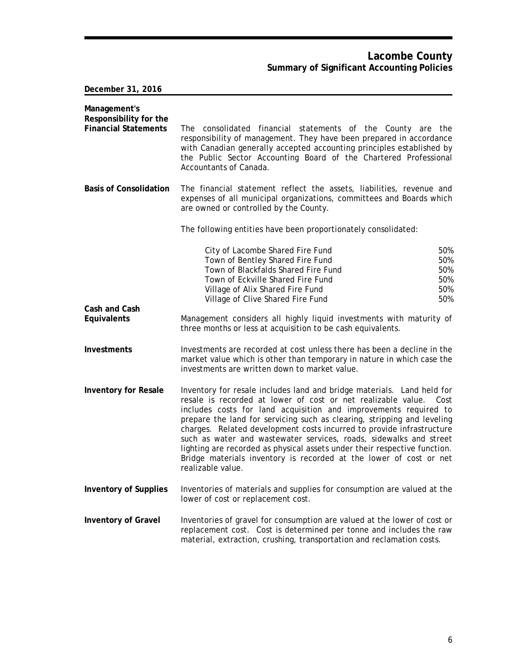## **Lacombe County Summary of Significant Accounting Policies**

**December 31, 2016**

| Management's<br>Responsibility for the<br><b>Financial Statements</b> | The consolidated financial statements of the County are the<br>responsibility of management. They have been prepared in accordance<br>with Canadian generally accepted accounting principles established by<br>the Public Sector Accounting Board of the Chartered Professional<br>Accountants of Canada.                                                                                                                                                                                                                                                                                                            |                                        |
|-----------------------------------------------------------------------|----------------------------------------------------------------------------------------------------------------------------------------------------------------------------------------------------------------------------------------------------------------------------------------------------------------------------------------------------------------------------------------------------------------------------------------------------------------------------------------------------------------------------------------------------------------------------------------------------------------------|----------------------------------------|
| <b>Basis of Consolidation</b>                                         | The financial statement reflect the assets, liabilities, revenue and<br>expenses of all municipal organizations, committees and Boards which<br>are owned or controlled by the County.                                                                                                                                                                                                                                                                                                                                                                                                                               |                                        |
|                                                                       | The following entities have been proportionately consolidated:                                                                                                                                                                                                                                                                                                                                                                                                                                                                                                                                                       |                                        |
|                                                                       | City of Lacombe Shared Fire Fund<br>Town of Bentley Shared Fire Fund<br>Town of Blackfalds Shared Fire Fund<br>Town of Eckville Shared Fire Fund<br>Village of Alix Shared Fire Fund<br>Village of Clive Shared Fire Fund                                                                                                                                                                                                                                                                                                                                                                                            | 50%<br>50%<br>50%<br>50%<br>50%<br>50% |
| Cash and Cash<br>Equivalents                                          | Management considers all highly liquid investments with maturity of<br>three months or less at acquisition to be cash equivalents.                                                                                                                                                                                                                                                                                                                                                                                                                                                                                   |                                        |
| Investments                                                           | Investments are recorded at cost unless there has been a decline in the<br>market value which is other than temporary in nature in which case the<br>investments are written down to market value.                                                                                                                                                                                                                                                                                                                                                                                                                   |                                        |
| <b>Inventory for Resale</b>                                           | Inventory for resale includes land and bridge materials. Land held for<br>resale is recorded at lower of cost or net realizable value.<br>Cost<br>includes costs for land acquisition and improvements required to<br>prepare the land for servicing such as clearing, stripping and leveling<br>charges. Related development costs incurred to provide infrastructure<br>such as water and wastewater services, roads, sidewalks and street<br>lighting are recorded as physical assets under their respective function.<br>Bridge materials inventory is recorded at the lower of cost or net<br>realizable value. |                                        |
| <b>Inventory of Supplies</b>                                          | Inventories of materials and supplies for consumption are valued at the<br>lower of cost or replacement cost.                                                                                                                                                                                                                                                                                                                                                                                                                                                                                                        |                                        |
| <b>Inventory of Gravel</b>                                            | Inventories of gravel for consumption are valued at the lower of cost or<br>replacement cost. Cost is determined per tonne and includes the raw<br>material, extraction, crushing, transportation and reclamation costs.                                                                                                                                                                                                                                                                                                                                                                                             |                                        |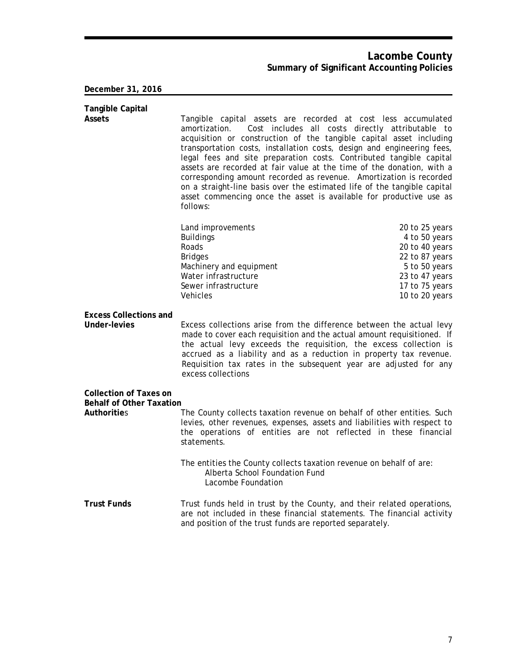## **Lacombe County Summary of Significant Accounting Policies**

### **December 31, 2016**

| <b>Tangible Capital</b>                               |                                                                                                                                                                                                                                                                                                                                                                                                                                                                                                                                                                                                                     |                                                  |
|-------------------------------------------------------|---------------------------------------------------------------------------------------------------------------------------------------------------------------------------------------------------------------------------------------------------------------------------------------------------------------------------------------------------------------------------------------------------------------------------------------------------------------------------------------------------------------------------------------------------------------------------------------------------------------------|--------------------------------------------------|
| Assets                                                | Tangible capital assets are recorded at cost less accumulated<br>amortization.<br>acquisition or construction of the tangible capital asset including<br>transportation costs, installation costs, design and engineering fees,<br>legal fees and site preparation costs. Contributed tangible capital<br>assets are recorded at fair value at the time of the donation, with a<br>corresponding amount recorded as revenue. Amortization is recorded<br>on a straight-line basis over the estimated life of the tangible capital<br>asset commencing once the asset is available for productive use as<br>follows: | Cost includes all costs directly attributable to |
|                                                       |                                                                                                                                                                                                                                                                                                                                                                                                                                                                                                                                                                                                                     |                                                  |
|                                                       | Land improvements                                                                                                                                                                                                                                                                                                                                                                                                                                                                                                                                                                                                   | 20 to 25 years                                   |
|                                                       | <b>Buildings</b><br>Roads                                                                                                                                                                                                                                                                                                                                                                                                                                                                                                                                                                                           | 4 to 50 years<br>20 to 40 years                  |
|                                                       | <b>Bridges</b>                                                                                                                                                                                                                                                                                                                                                                                                                                                                                                                                                                                                      | 22 to 87 years                                   |
|                                                       | Machinery and equipment                                                                                                                                                                                                                                                                                                                                                                                                                                                                                                                                                                                             | 5 to 50 years                                    |
|                                                       | Water infrastructure                                                                                                                                                                                                                                                                                                                                                                                                                                                                                                                                                                                                | 23 to 47 years                                   |
|                                                       | Sewer infrastructure                                                                                                                                                                                                                                                                                                                                                                                                                                                                                                                                                                                                | 17 to 75 years                                   |
|                                                       | Vehicles                                                                                                                                                                                                                                                                                                                                                                                                                                                                                                                                                                                                            | 10 to 20 years                                   |
| <b>Excess Collections and</b>                         |                                                                                                                                                                                                                                                                                                                                                                                                                                                                                                                                                                                                                     |                                                  |
| <b>Under-levies</b>                                   | Excess collections arise from the difference between the actual levy<br>made to cover each requisition and the actual amount requisitioned. If<br>the actual levy exceeds the requisition, the excess collection is<br>accrued as a liability and as a reduction in property tax revenue.<br>Requisition tax rates in the subsequent year are adjusted for any<br>excess collections                                                                                                                                                                                                                                |                                                  |
| <b>Collection of Taxes on</b>                         |                                                                                                                                                                                                                                                                                                                                                                                                                                                                                                                                                                                                                     |                                                  |
| <b>Behalf of Other Taxation</b><br><b>Authorities</b> | The County collects taxation revenue on behalf of other entities. Such<br>levies, other revenues, expenses, assets and liabilities with respect to<br>the operations of entities are not reflected in these financial<br>statements.                                                                                                                                                                                                                                                                                                                                                                                |                                                  |
|                                                       | The entities the County collects taxation revenue on behalf of are:<br>Alberta School Foundation Fund<br>Lacombe Foundation                                                                                                                                                                                                                                                                                                                                                                                                                                                                                         |                                                  |
| <b>Trust Funds</b>                                    | Trust funds held in trust by the County, and their related operations,<br>are not included in these financial statements. The financial activity                                                                                                                                                                                                                                                                                                                                                                                                                                                                    |                                                  |

and position of the trust funds are reported separately.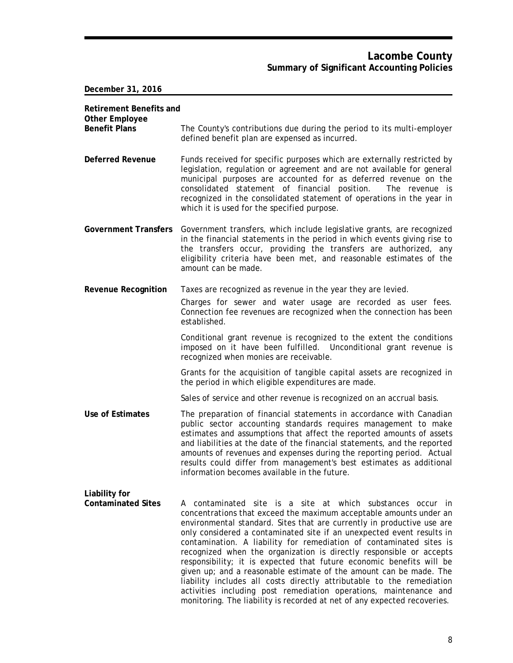| <b>Retirement Benefits and</b><br><b>Other Employee</b> |                                                                                                                                                                                                                                                                                                                                                                                                                                                                                                                                                                                                                                                                                                                                                                                                           |
|---------------------------------------------------------|-----------------------------------------------------------------------------------------------------------------------------------------------------------------------------------------------------------------------------------------------------------------------------------------------------------------------------------------------------------------------------------------------------------------------------------------------------------------------------------------------------------------------------------------------------------------------------------------------------------------------------------------------------------------------------------------------------------------------------------------------------------------------------------------------------------|
| <b>Benefit Plans</b>                                    | The County's contributions due during the period to its multi-employer<br>defined benefit plan are expensed as incurred.                                                                                                                                                                                                                                                                                                                                                                                                                                                                                                                                                                                                                                                                                  |
| <b>Deferred Revenue</b>                                 | Funds received for specific purposes which are externally restricted by<br>legislation, regulation or agreement and are not available for general<br>municipal purposes are accounted for as deferred revenue on the<br>consolidated statement of financial position.<br>The revenue is<br>recognized in the consolidated statement of operations in the year in<br>which it is used for the specified purpose.                                                                                                                                                                                                                                                                                                                                                                                           |
| <b>Government Transfers</b>                             | Government transfers, which include legislative grants, are recognized<br>in the financial statements in the period in which events giving rise to<br>the transfers occur, providing the transfers are authorized, any<br>eligibility criteria have been met, and reasonable estimates of the<br>amount can be made.                                                                                                                                                                                                                                                                                                                                                                                                                                                                                      |
| <b>Revenue Recognition</b>                              | Taxes are recognized as revenue in the year they are levied.                                                                                                                                                                                                                                                                                                                                                                                                                                                                                                                                                                                                                                                                                                                                              |
|                                                         | Charges for sewer and water usage are recorded as user fees.<br>Connection fee revenues are recognized when the connection has been<br>established.                                                                                                                                                                                                                                                                                                                                                                                                                                                                                                                                                                                                                                                       |
|                                                         | Conditional grant revenue is recognized to the extent the conditions<br>imposed on it have been fulfilled. Unconditional grant revenue is<br>recognized when monies are receivable.                                                                                                                                                                                                                                                                                                                                                                                                                                                                                                                                                                                                                       |
|                                                         | Grants for the acquisition of tangible capital assets are recognized in<br>the period in which eligible expenditures are made.                                                                                                                                                                                                                                                                                                                                                                                                                                                                                                                                                                                                                                                                            |
|                                                         | Sales of service and other revenue is recognized on an accrual basis.                                                                                                                                                                                                                                                                                                                                                                                                                                                                                                                                                                                                                                                                                                                                     |
| Use of Estimates                                        | The preparation of financial statements in accordance with Canadian<br>public sector accounting standards requires management to make<br>estimates and assumptions that affect the reported amounts of assets<br>and liabilities at the date of the financial statements, and the reported<br>amounts of revenues and expenses during the reporting period. Actual<br>results could differ from management's best estimates as additional<br>information becomes available in the future.                                                                                                                                                                                                                                                                                                                 |
| Liability for<br><b>Contaminated Sites</b>              | A contaminated site is a site at which substances occur in<br>concentrations that exceed the maximum acceptable amounts under an<br>environmental standard. Sites that are currently in productive use are<br>only considered a contaminated site if an unexpected event results in<br>contamination. A liability for remediation of contaminated sites is<br>recognized when the organization is directly responsible or accepts<br>responsibility; it is expected that future economic benefits will be<br>given up; and a reasonable estimate of the amount can be made. The<br>liability includes all costs directly attributable to the remediation<br>activities including post remediation operations, maintenance and<br>monitoring. The liability is recorded at net of any expected recoveries. |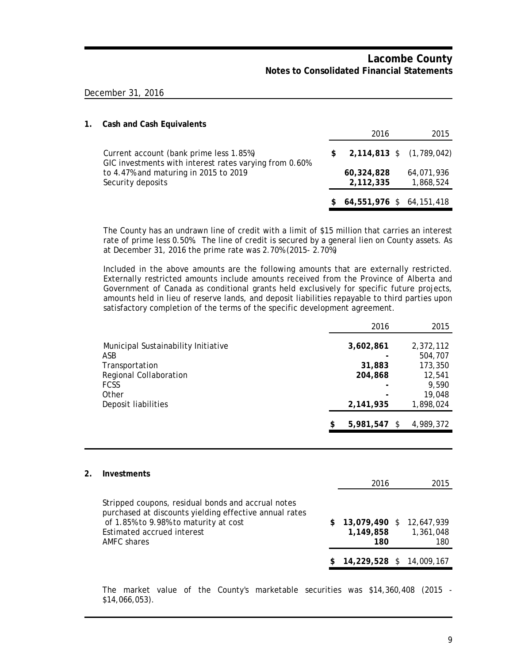### December 31, 2016

| 1. | <b>Cash and Cash Equivalents</b>                                                                  |                                |                         |
|----|---------------------------------------------------------------------------------------------------|--------------------------------|-------------------------|
|    |                                                                                                   | 2016                           | 2015                    |
|    | Current account (bank prime less 1.85%)<br>GIC investments with interest rates varying from 0.60% | \$<br>2,114,813 \$ (1,789,042) |                         |
|    | to 4.47% and maturing in 2015 to 2019<br>Security deposits                                        | 60,324,828<br>2,112,335        | 64,071,936<br>1,868,524 |
|    |                                                                                                   | 64,551,976 \$ 64,151,418       |                         |

The County has an undrawn line of credit with a limit of \$15 million that carries an interest rate of prime less 0.50%. The line of credit is secured by a general lien on County assets. As at December 31, 2016 the prime rate was 2.70% (2015- 2.70%)

Included in the above amounts are the following amounts that are externally restricted. Externally restricted amounts include amounts received from the Province of Alberta and Government of Canada as conditional grants held exclusively for specific future projects, amounts held in lieu of reserve lands, and deposit liabilities repayable to third parties upon satisfactory completion of the terms of the specific development agreement.

|                                     | 2016               | 2015      |
|-------------------------------------|--------------------|-----------|
| Municipal Sustainability Initiative | 3,602,861          | 2,372,112 |
| ASB                                 |                    | 504,707   |
| Transportation                      | 31,883             | 173,350   |
| Regional Collaboration              | 204,868            | 12,541    |
| <b>FCSS</b>                         |                    | 9,590     |
| Other                               |                    | 19,048    |
| Deposit liabilities                 | 2,141,935          | 1,898,024 |
|                                     | \$<br>5,981,547 \$ | 4,989,372 |

### **2. Investments**

|                                                                                                                                                                                                    | 2016                                            | 2015             |
|----------------------------------------------------------------------------------------------------------------------------------------------------------------------------------------------------|-------------------------------------------------|------------------|
| Stripped coupons, residual bonds and accrual notes<br>purchased at discounts yielding effective annual rates<br>of 1.85% to 9.98% to maturity at cost<br>Estimated accrued interest<br>AMFC shares | $$13,079,490$ $$12,647,939$<br>1,149,858<br>180 | 1,361,048<br>180 |
|                                                                                                                                                                                                    | $$14,229,528$ $$14,009,167$                     |                  |

The market value of the County's marketable securities was \$14,360,408 (2015 - \$14,066,053).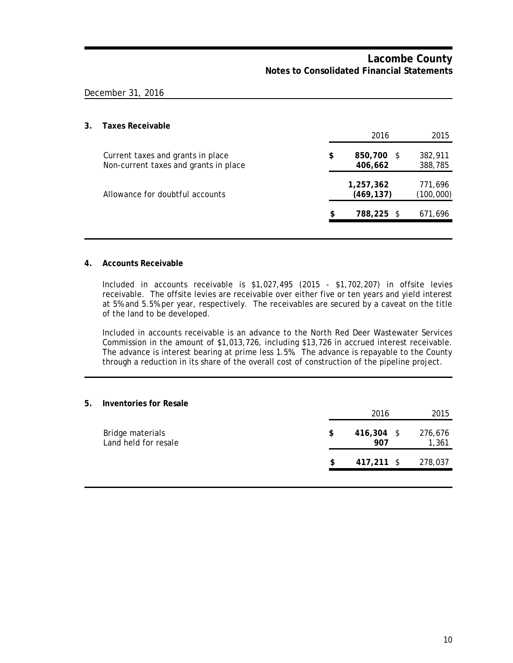### December 31, 2016

# **3. Taxes Receivable** 2016 2015 Current taxes and grants in place **\$ 850,700** \$ 382,911 Non-current taxes and grants in place **406,662** 388,785 **1,257,362** 771,696 Allowance for doubtful accounts **(469,137)** (100,000) **\$ 788,225** \$ 671,696

### **4. Accounts Receivable**

Included in accounts receivable is \$1,027,495 (2015 - \$1,702,207) in offsite levies receivable. The offsite levies are receivable over either five or ten years and yield interest at 5% and 5.5% per year, respectively. The receivables are secured by a caveat on the title of the land to be developed.

Included in accounts receivable is an advance to the North Red Deer Wastewater Services Commission in the amount of \$1,013,726, including \$13,726 in accrued interest receivable. The advance is interest bearing at prime less 1.5%. The advance is repayable to the County through a reduction in its share of the overall cost of construction of the pipeline project.

| 5. | Inventories for Resale                   |    |                     |                  |  |
|----|------------------------------------------|----|---------------------|------------------|--|
|    |                                          |    | 2016                | 2015             |  |
|    | Bridge materials<br>Land held for resale | \$ | $416,304$ \$<br>907 | 276,676<br>1,361 |  |
|    |                                          | \$ | 417,211 \$          | 278,037          |  |
|    |                                          |    |                     |                  |  |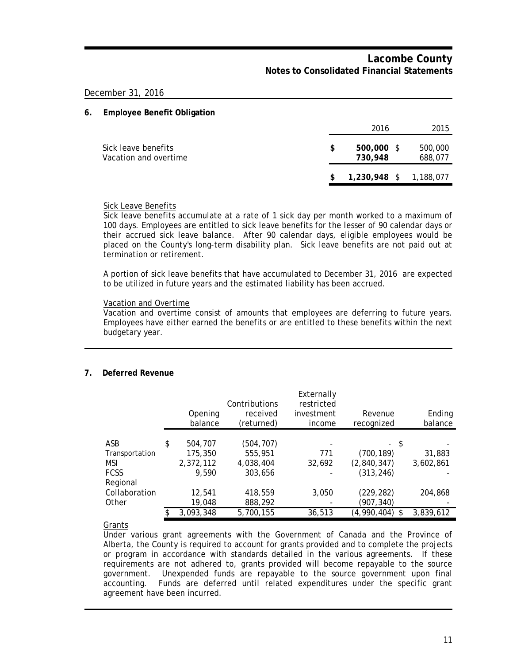### December 31, 2016

### **6. Employee Benefit Obligation**

|                                              |   | 2016                    | 2015               |
|----------------------------------------------|---|-------------------------|--------------------|
| Sick leave benefits<br>Vacation and overtime | S | $500,000$ \$<br>730,948 | 500,000<br>688,077 |
|                                              |   | 1,230,948 \$ 1,188,077  |                    |

### Sick Leave Benefits

Sick leave benefits accumulate at a rate of 1 sick day per month worked to a maximum of 100 days. Employees are entitled to sick leave benefits for the lesser of 90 calendar days or their accrued sick leave balance. After 90 calendar days, eligible employees would be placed on the County's long-term disability plan. Sick leave benefits are not paid out at termination or retirement.

A portion of sick leave benefits that have accumulated to December 31, 2016 are expected to be utilized in future years and the estimated liability has been accrued.

### Vacation and Overtime

Vacation and overtime consist of amounts that employees are deferring to future years. Employees have either earned the benefits or are entitled to these benefits within the next budgetary year.

### **7. Deferred Revenue**

|                | Opening<br>balance | Contributions<br>received<br>(returned) | Externally<br>restricted<br>investment<br>income | Revenue<br>recognized | Ending<br>balance |
|----------------|--------------------|-----------------------------------------|--------------------------------------------------|-----------------------|-------------------|
|                |                    |                                         |                                                  |                       |                   |
| ASB            | \$<br>504,707      | (504, 707)                              |                                                  | - \$                  |                   |
| Transportation | 175,350            | 555,951                                 | 771                                              | (700, 189)            | 31,883            |
| <b>MSI</b>     | 2,372,112          | 4,038,404                               | 32,692                                           | (2,840,347)           | 3,602,861         |
| <b>FCSS</b>    | 9.590              | 303,656                                 |                                                  | (313, 246)            |                   |
| Regional       |                    |                                         |                                                  |                       |                   |
| Collaboration  | 12,541             | 418,559                                 | 3.050                                            | (229, 282)            | 204,868           |
| Other          | 19,048             | 888,292                                 |                                                  | (907, 340)            |                   |
|                | 3,093,348          | 5,700,155                               | 36,513                                           | (4,990,404)<br>S.     | 3,839,612         |

Grants

Under various grant agreements with the Government of Canada and the Province of Alberta, the County is required to account for grants provided and to complete the projects or program in accordance with standards detailed in the various agreements. If these requirements are not adhered to, grants provided will become repayable to the source government. Unexpended funds are repayable to the source government upon final accounting. Funds are deferred until related expenditures under the specific grant agreement have been incurred.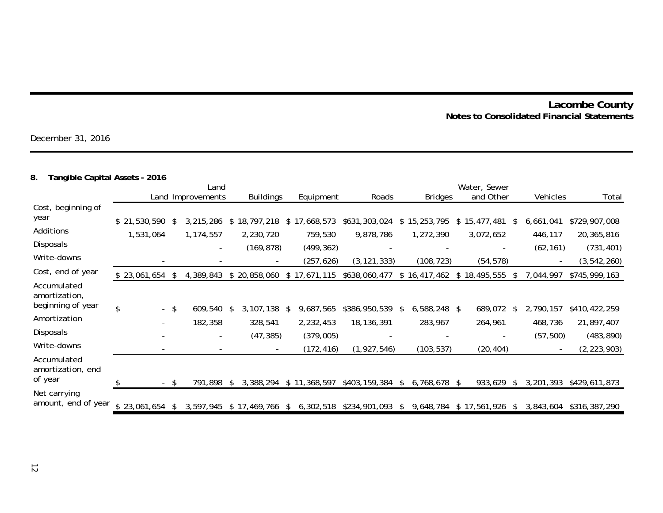December 31, 2016

# **8. Tangible Capital Assets - 2016**

|                                     |                          |      | Land              |     |                  |   |              | Water, Sewer  |               |                |    |                        |    |           |               |
|-------------------------------------|--------------------------|------|-------------------|-----|------------------|---|--------------|---------------|---------------|----------------|----|------------------------|----|-----------|---------------|
|                                     |                          |      | Land Improvements |     | <b>Buildings</b> |   | Equipment    | Roads         |               | <b>Bridges</b> |    | and Other              |    | Vehicles  | Total         |
| Cost, beginning of                  |                          |      |                   |     |                  |   |              |               |               |                |    |                        |    |           |               |
| year                                | \$21,530,590             | - \$ | 3,215,286         |     | \$18,797,218     |   | \$17,668,573 | \$631,303,024 |               | \$15,253,795   | \$ | 15,477,481 \$          |    | 6,661,041 | \$729,907,008 |
| Additions                           | 1,531,064                |      | 1,174,557         |     | 2,230,720        |   | 759,530      | 9,878,786     |               | 1,272,390      |    | 3,072,652              |    | 446,117   | 20,365,816    |
| Disposals                           |                          |      |                   |     | (169, 878)       |   | (499, 362)   |               |               |                |    | -                      |    | (62, 161) | (731, 401)    |
| Write-downs                         |                          |      |                   |     |                  |   | (257,626)    | (3, 121, 333) |               | (108, 723)     |    | (54, 578)              |    |           | (3, 542, 260) |
| Cost, end of year                   | $$23,061,654$ \$         |      | 4,389,843         |     | \$20,858,060     |   | \$17,671,115 | \$638,060,477 |               | \$16,417,462   | S. | 18,495,555             | -S | 7,044,997 | \$745,999,163 |
| Accumulated<br>amortization,        |                          |      |                   |     |                  |   |              |               |               |                |    |                        |    |           |               |
| beginning of year                   | \$                       | - \$ | 609,540           | \$. | 3,107,138        | S | 9,687,565    | \$386,950,539 | S.            | $6,588,248$ \$ |    | 689,072                | -S | 2,790,157 | \$410,422,259 |
| Amortization                        | $\overline{\phantom{a}}$ |      | 182,358           |     | 328,541          |   | 2,232,453    | 18,136,391    |               | 283,967        |    | 264,961                |    | 468,736   | 21,897,407    |
| Disposals                           |                          |      |                   |     | (47, 385)        |   | (379,005)    |               |               |                |    |                        |    | (57, 500) | (483, 890)    |
| Write-downs                         |                          |      |                   |     |                  |   | (172, 416)   | (1, 927, 546) |               | (103, 537)     |    | (20, 404)              |    |           | (2, 223, 903) |
| Accumulated<br>amortization, end    |                          |      |                   |     |                  |   |              |               |               |                |    |                        |    |           |               |
| of year                             |                          | - \$ | 791,898           |     | 3,388,294        |   | \$11,368,597 | \$403,159,384 | \$            | 6,768,678 \$   |    | 933,629                | -S | 3,201,393 | \$429,611,873 |
| Net carrying<br>amount, end of year | $$23,061,654$ \$         |      | 3,597,945         |     | $$17,469,766$ \$ |   | 6,302,518    | \$234,901,093 | $\frac{1}{2}$ |                |    | 9,648,784 \$17,561,926 | -S | 3,843,604 | \$316,387,290 |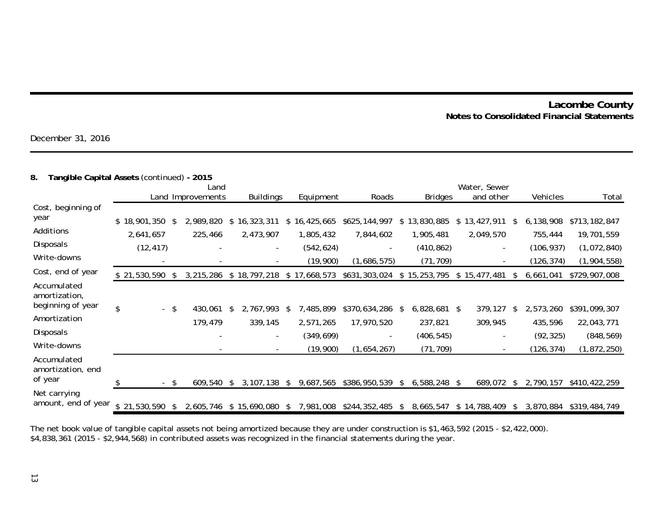December 31, 2016

# **8. Tangible Capital Assets** (continued) **- 2015**

|                                                   |              |      | Land              |     |                          |    |              | Water, Sewer  |    |                |    |                          |    |            |               |
|---------------------------------------------------|--------------|------|-------------------|-----|--------------------------|----|--------------|---------------|----|----------------|----|--------------------------|----|------------|---------------|
|                                                   |              |      | Land Improvements |     | <b>Buildings</b>         |    | Equipment    | Roads         |    | <b>Bridges</b> |    | and other                |    | Vehicles   | Total         |
| Cost, beginning of                                |              |      |                   |     |                          |    |              |               |    |                |    |                          |    |            |               |
| year                                              | \$18,901,350 | -\$  | 2,989,820         |     | \$16,323,311             |    | \$16,425,665 | \$625,144,997 | \$ | 13,830,885     | \$ | 13,427,911               | S  | 6,138,908  | \$713,182,847 |
| Additions                                         | 2,641,657    |      | 225,466           |     | 2,473,907                |    | 1,805,432    | 7,844,602     |    | 1,905,481      |    | 2,049,570                |    | 755,444    | 19,701,559    |
| Disposals                                         | (12, 417)    |      |                   |     | $\overline{\phantom{a}}$ |    | (542, 624)   |               |    | (410, 862)     |    | $\overline{\phantom{a}}$ |    | (106, 937) | (1,072,840)   |
| Write-downs                                       |              |      |                   |     |                          |    | (19,900)     | (1,686,575)   |    | (71, 709)      |    |                          |    | (126, 374) | (1,904,558)   |
| Cost, end of year                                 | \$21,530,590 | - \$ | 3,215,286         |     | \$18,797,218             |    | \$17,668,573 | \$631,303,024 |    | \$15,253,795   | \$ | 15,477,481               | S  | 6,661,041  | \$729,907,008 |
| Accumulated<br>amortization,<br>beginning of year |              |      |                   |     |                          |    |              |               |    |                |    |                          |    |            |               |
|                                                   | \$           | - \$ | 430.061           | \$. | 2,767,993                | S  | 7,485,899    | \$370,634,286 | S. | $6,828,681$ \$ |    | 379,127                  |    | 2,573,260  | \$391,099,307 |
| Amortization                                      |              |      | 179,479           |     | 339,145                  |    | 2,571,265    | 17,970,520    |    | 237,821        |    | 309,945                  |    | 435,596    | 22,043,771    |
| <b>Disposals</b>                                  |              |      |                   |     |                          |    | (349, 699)   |               |    | (406, 545)     |    |                          |    | (92, 325)  | (848, 569)    |
| Write-downs                                       |              |      |                   |     |                          |    | (19,900)     | (1,654,267)   |    | (71, 709)      |    | $\overline{\phantom{a}}$ |    | (126, 374) | (1,872,250)   |
| Accumulated<br>amortization, end<br>of year       |              | - \$ | 609,540           | \$. | 3,107,138                | \$ | 9,687,565    | \$386,950,539 | \$ | $6,588,248$ \$ |    | 689,072                  | S. | 2,790,157  | \$410,422,259 |
| Net carrying                                      |              |      |                   |     |                          |    |              |               |    |                |    |                          |    |            |               |
| amount, end of year                               | \$21,530,590 |      | 2,605,746         |     | \$15,690,080             | S. | 7,981,008    | \$244,352,485 | S. | 8,665,547      |    | \$14,788,409             | S  | 3,870,884  | \$319,484,749 |

The net book value of tangible capital assets not being amortized because they are under construction is \$1,463,592 (2015 - \$2,422,000). \$4,838,361 (2015 - \$2,944,568) in contributed assets was recognized in the financial statements during the year.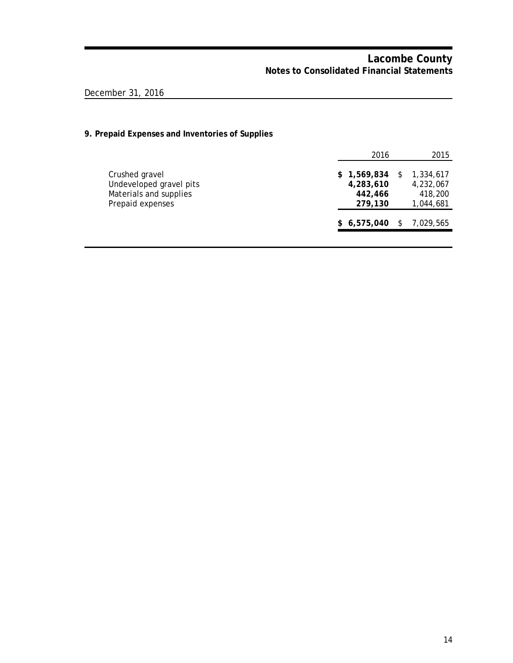# December 31, 2016

# **9. Prepaid Expenses and Inventories of Supplies**

|                                                                                         | 2016                                           |    | 2015                                           |
|-----------------------------------------------------------------------------------------|------------------------------------------------|----|------------------------------------------------|
| Crushed gravel<br>Undeveloped gravel pits<br>Materials and supplies<br>Prepaid expenses | \$1,569,834<br>4,283,610<br>442,466<br>279,130 | S  | 1,334,617<br>4,232,067<br>418,200<br>1,044,681 |
|                                                                                         | \$6,575,040                                    | S. | 7.029.565                                      |
|                                                                                         |                                                |    |                                                |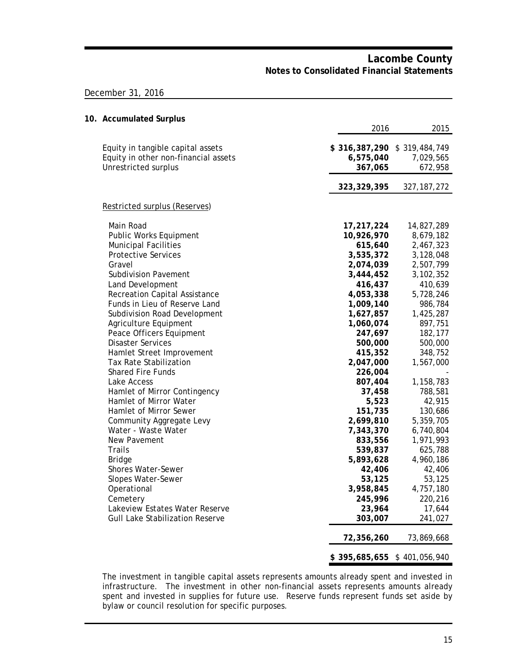### December 31, 2016

| 10. Accumulated Surplus                                                                           |                      |                                                     |
|---------------------------------------------------------------------------------------------------|----------------------|-----------------------------------------------------|
|                                                                                                   | 2016                 | 2015                                                |
| Equity in tangible capital assets<br>Equity in other non-financial assets<br>Unrestricted surplus | 6,575,040<br>367,065 | \$316,387,290 \$319,484,749<br>7,029,565<br>672,958 |
|                                                                                                   | 323, 329, 395        | 327, 187, 272                                       |
| Restricted surplus (Reserves)                                                                     |                      |                                                     |
| Main Road                                                                                         | 17,217,224           | 14,827,289                                          |
| Public Works Equipment                                                                            | 10,926,970           | 8,679,182                                           |
| <b>Municipal Facilities</b>                                                                       | 615,640              | 2,467,323                                           |
| <b>Protective Services</b>                                                                        | 3,535,372            | 3,128,048                                           |
| Gravel                                                                                            | 2,074,039            | 2,507,799                                           |
| <b>Subdivision Pavement</b>                                                                       | 3,444,452            | 3,102,352                                           |
| Land Development                                                                                  | 416,437              | 410,639                                             |
| <b>Recreation Capital Assistance</b>                                                              | 4,053,338            | 5,728,246                                           |
| Funds in Lieu of Reserve Land                                                                     | 1,009,140            | 986,784                                             |
| Subdivision Road Development                                                                      | 1,627,857            | 1,425,287                                           |
| Agriculture Equipment                                                                             | 1,060,074            | 897,751                                             |
| Peace Officers Equipment                                                                          | 247,697              | 182,177                                             |
| <b>Disaster Services</b>                                                                          | 500,000              | 500,000                                             |
| Hamlet Street Improvement                                                                         | 415,352              | 348,752                                             |
| <b>Tax Rate Stabilization</b>                                                                     | 2,047,000            | 1,567,000                                           |
| <b>Shared Fire Funds</b>                                                                          | 226,004              |                                                     |
| Lake Access                                                                                       | 807,404              | 1,158,783                                           |
| Hamlet of Mirror Contingency                                                                      | 37,458               | 788,581                                             |
| Hamlet of Mirror Water                                                                            | 5,523                | 42,915                                              |
| Hamlet of Mirror Sewer                                                                            | 151,735              | 130,686                                             |
| Community Aggregate Levy                                                                          | 2,699,810            | 5,359,705                                           |
| Water - Waste Water                                                                               | 7,343,370            | 6,740,804                                           |
| New Pavement                                                                                      | 833,556              | 1,971,993                                           |
| <b>Trails</b>                                                                                     | 539,837              | 625,788                                             |
| Bridge                                                                                            | 5,893,628            | 4,960,186                                           |
| Shores Water-Sewer                                                                                | 42,406               | 42,406                                              |
| Slopes Water-Sewer                                                                                | 53,125               | 53,125                                              |
| Operational                                                                                       | 3,958,845            | 4,757,180                                           |
| Cemetery                                                                                          | 245,996              | 220,216                                             |
| Lakeview Estates Water Reserve                                                                    | 23,964               | 17,644                                              |
| <b>Gull Lake Stabilization Reserve</b>                                                            | 303,007              | 241,027                                             |
|                                                                                                   | 72,356,260           | 73,869,668                                          |
|                                                                                                   |                      | \$395,685,655 \$401,056,940                         |

The investment in tangible capital assets represents amounts already spent and invested in infrastructure. The investment in other non-financial assets represents amounts already spent and invested in supplies for future use. Reserve funds represent funds set aside by bylaw or council resolution for specific purposes.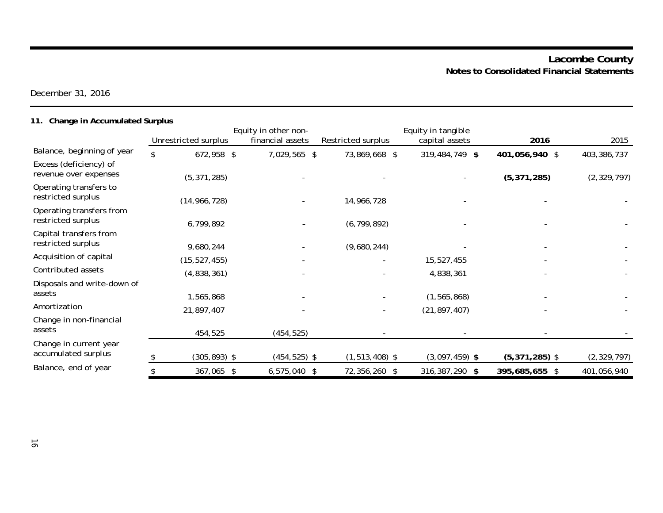December 31, 2016

# **11. Change in Accumulated Surplus**

|                                                 |                      | Equity in other non- |                    | Equity in tangible |                  |               |
|-------------------------------------------------|----------------------|----------------------|--------------------|--------------------|------------------|---------------|
|                                                 | Unrestricted surplus | financial assets     | Restricted surplus | capital assets     | 2016             | 2015          |
| Balance, beginning of year                      | \$<br>672,958 \$     | 7,029,565 \$         | 73,869,668 \$      | 319,484,749 \$     | 401,056,940 \$   | 403,386,737   |
| Excess (deficiency) of<br>revenue over expenses | (5, 371, 285)        |                      |                    |                    | (5, 371, 285)    | (2, 329, 797) |
| Operating transfers to<br>restricted surplus    | (14, 966, 728)       |                      | 14,966,728         |                    |                  |               |
| Operating transfers from<br>restricted surplus  | 6,799,892            |                      | (6, 799, 892)      |                    |                  |               |
| Capital transfers from<br>restricted surplus    | 9,680,244            |                      | (9,680,244)        |                    |                  |               |
| Acquisition of capital                          | (15, 527, 455)       |                      |                    | 15,527,455         |                  |               |
| Contributed assets                              | (4,838,361)          |                      |                    | 4,838,361          |                  |               |
| Disposals and write-down of<br>assets           | 1,565,868            |                      |                    | (1, 565, 868)      |                  |               |
| Amortization                                    | 21,897,407           |                      |                    | (21, 897, 407)     |                  |               |
| Change in non-financial<br>assets               | 454,525              | (454, 525)           |                    |                    |                  |               |
| Change in current year<br>accumulated surplus   | $(305, 893)$ \$      | $(454, 525)$ \$      | $(1, 513, 408)$ \$ | $(3,097,459)$ \$   | $(5,371,285)$ \$ | (2, 329, 797) |
| Balance, end of year                            | 367,065 \$           | $6,575,040$ \$       | 72,356,260 \$      | 316,387,290 \$     | 395,685,655 \$   | 401,056,940   |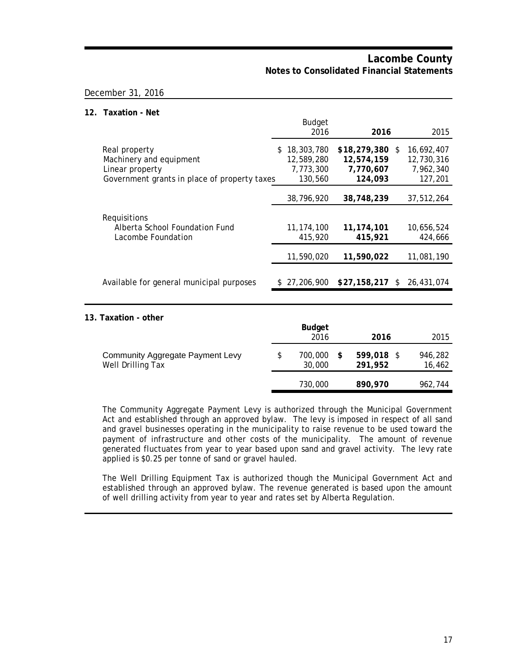### December 31, 2016

### **12. Taxation - Net**

|                                                                                                             | <b>Budget</b><br>2016                              | 2016                                               |    | 2015                                             |
|-------------------------------------------------------------------------------------------------------------|----------------------------------------------------|----------------------------------------------------|----|--------------------------------------------------|
| Real property<br>Machinery and equipment<br>Linear property<br>Government grants in place of property taxes | \$18,303,780<br>12,589,280<br>7,773,300<br>130,560 | \$18,279,380<br>12,574,159<br>7,770,607<br>124,093 | -S | 16.692.407<br>12,730,316<br>7,962,340<br>127,201 |
|                                                                                                             | 38,796,920                                         | 38,748,239                                         |    | 37,512,264                                       |
| Requisitions<br>Alberta School Foundation Fund<br>Lacombe Foundation                                        | 11, 174, 100<br>415,920<br>11,590,020              | 11, 174, 101<br>415,921<br>11,590,022              |    | 10,656,524<br>424,666<br>11,081,190              |
| Available for general municipal purposes                                                                    | \$27,206,900                                       | \$27,158,217                                       | -S | 26,431,074                                       |
| 13. Taxation - other                                                                                        | <b>Budget</b><br>2016                              | 2016                                               |    | 2015                                             |
| <b>Community Aggregate Payment Levy</b><br>Well Drilling Tax                                                | \$<br>700,000<br>30,000                            | \$<br>599,018 \$<br>291,952                        |    | 946,282<br>16,462                                |
|                                                                                                             | 730,000                                            | 890,970                                            |    | 962,744                                          |

The Community Aggregate Payment Levy is authorized through the Municipal Government Act and established through an approved bylaw. The levy is imposed in respect of all sand and gravel businesses operating in the municipality to raise revenue to be used toward the payment of infrastructure and other costs of the municipality. The amount of revenue generated fluctuates from year to year based upon sand and gravel activity. The levy rate applied is \$0.25 per tonne of sand or gravel hauled.

The Well Drilling Equipment Tax is authorized though the Municipal Government Act and established through an approved bylaw. The revenue generated is based upon the amount of well drilling activity from year to year and rates set by Alberta Regulation.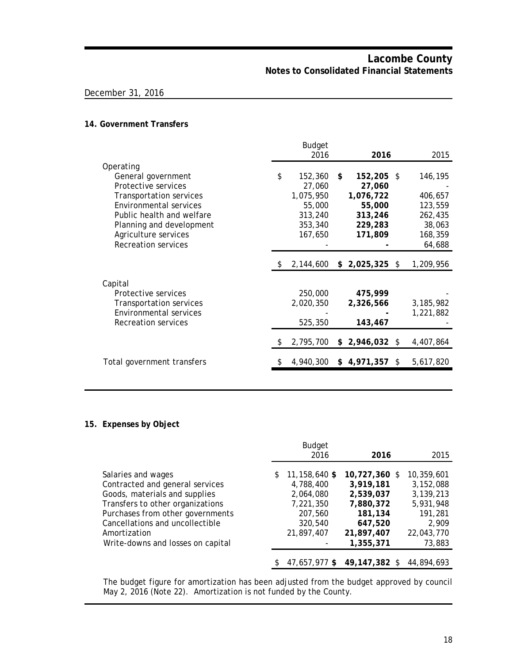### December 31, 2016

### **14. Government Transfers**

|                                |    | <b>Budget</b><br>2016 | 2016               |    | 2015      |  |
|--------------------------------|----|-----------------------|--------------------|----|-----------|--|
| Operating                      |    |                       |                    |    |           |  |
| General government             | \$ | 152,360               | \$<br>152,205 \$   |    | 146,195   |  |
| Protective services            |    | 27,060                | 27,060             |    |           |  |
| <b>Transportation services</b> |    | 1,075,950             | 1,076,722          |    | 406,657   |  |
| Environmental services         |    | 55,000                | 55,000             |    | 123,559   |  |
| Public health and welfare      |    | 313,240               | 313,246            |    | 262,435   |  |
| Planning and development       |    | 353,340               | 229,283            |    | 38,063    |  |
| Agriculture services           |    | 167,650               | 171,809            |    | 168,359   |  |
| <b>Recreation services</b>     |    |                       |                    |    | 64,688    |  |
|                                | S  | 2,144,600             | $$2,025,325$ \$    |    | 1,209,956 |  |
| Capital                        |    |                       |                    |    |           |  |
| Protective services            |    | 250,000               | 475,999            |    |           |  |
| <b>Transportation services</b> |    | 2,020,350             | 2,326,566          |    | 3,185,982 |  |
| <b>Environmental services</b>  |    |                       |                    |    | 1,221,882 |  |
| Recreation services            |    | 525,350               | 143,467            |    |           |  |
|                                |    |                       |                    |    |           |  |
|                                | \$ | 2,795,700             | \$<br>2,946,032 \$ |    | 4,407,864 |  |
| Total government transfers     |    | 4,940,300             | \$4,971,357        | S. | 5,617,820 |  |
|                                |    |                       |                    |    |           |  |

### **15. Expenses by Object**

|                                                                                                                                                                                                                                                        |    | <b>Budget</b><br>2016                                                                    | 2016                                                                                                    | 2015                                                                                          |
|--------------------------------------------------------------------------------------------------------------------------------------------------------------------------------------------------------------------------------------------------------|----|------------------------------------------------------------------------------------------|---------------------------------------------------------------------------------------------------------|-----------------------------------------------------------------------------------------------|
| Salaries and wages<br>Contracted and general services<br>Goods, materials and supplies<br>Transfers to other organizations<br>Purchases from other governments<br>Cancellations and uncollectible<br>Amortization<br>Write-downs and losses on capital | \$ | 11,158,640 \$<br>4,788,400<br>2,064,080<br>7,221,350<br>207,560<br>320,540<br>21,897,407 | $10,727,360$ \$<br>3,919,181<br>2,539,037<br>7,880,372<br>181,134<br>647,520<br>21,897,407<br>1,355,371 | 10,359,601<br>3,152,088<br>3,139,213<br>5,931,948<br>191,281<br>2.909<br>22,043,770<br>73,883 |
|                                                                                                                                                                                                                                                        | S. | 47.657.977 \$                                                                            | 49,147,382 \$                                                                                           | 44.894.693                                                                                    |

The budget figure for amortization has been adjusted from the budget approved by council May 2, 2016 (Note 22). Amortization is not funded by the County.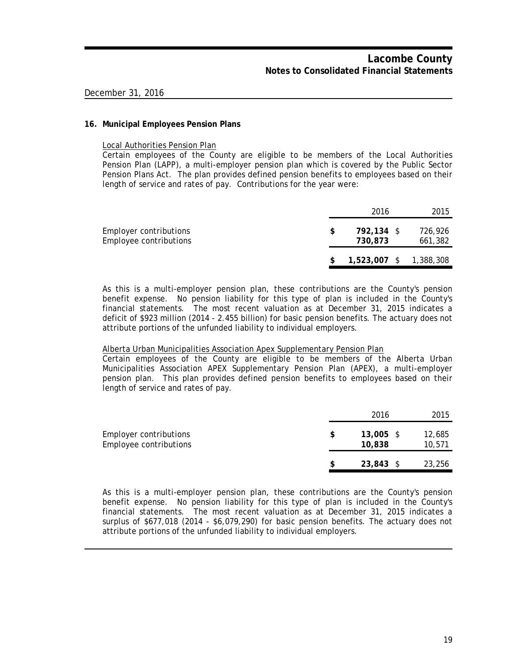### **16. Municipal Employees Pension Plans**

Local Authorities Pension Plan

Certain employees of the County are eligible to be members of the Local Authorities Pension Plan (LAPP), a multi-employer pension plan which is covered by the Public Sector Pension Plans Act. The plan provides defined pension benefits to employees based on their length of service and rates of pay. Contributions for the year were:

|                                                  |     | 2016                  | 2015                   |
|--------------------------------------------------|-----|-----------------------|------------------------|
| Employer contributions<br>Employee contributions | \$. | 792.134 \$<br>730.873 | 726,926<br>661,382     |
|                                                  |     |                       | 1,523,007 \$ 1,388,308 |

As this is a multi-employer pension plan, these contributions are the County's pension benefit expense. No pension liability for this type of plan is included in the County's financial statements. The most recent valuation as at December 31, 2015 indicates a deficit of \$923 million (2014 - 2.455 billion) for basic pension benefits. The actuary does not attribute portions of the unfunded liability to individual employers.

### Alberta Urban Municipalities Association Apex Supplementary Pension Plan

Certain employees of the County are eligible to be members of the Alberta Urban Municipalities Association APEX Supplementary Pension Plan (APEX), a multi-employer pension plan. This plan provides defined pension benefits to employees based on their length of service and rates of pay.

|                                                  |   | 2016                  | 2015             |
|--------------------------------------------------|---|-----------------------|------------------|
| Employer contributions<br>Employee contributions | S | $13,005$ \$<br>10,838 | 12,685<br>10,571 |
|                                                  |   | $23,843$ \$           | 23,256           |

As this is a multi-employer pension plan, these contributions are the County's pension benefit expense. No pension liability for this type of plan is included in the County's financial statements. The most recent valuation as at December 31, 2015 indicates a surplus of \$677,018 (2014 - \$6,079,290) for basic pension benefits. The actuary does not attribute portions of the unfunded liability to individual employers.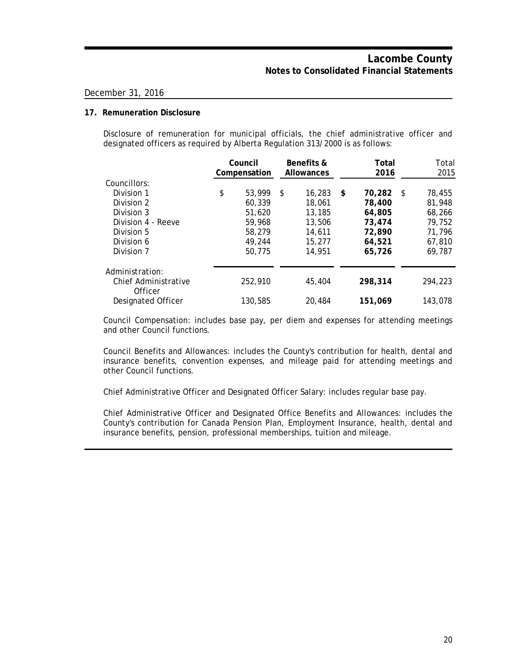### **17. Remuneration Disclosure**

Disclosure of remuneration for municipal officials, the chief administrative officer and designated officers as required by Alberta Regulation 313/2000 is as follows:

|                                 | Council<br>Compensation |    | Benefits &<br><b>Allowances</b> |     | Total<br>2016 |      | Total<br>2015 |  |
|---------------------------------|-------------------------|----|---------------------------------|-----|---------------|------|---------------|--|
| Councillors:                    |                         |    |                                 |     |               |      |               |  |
| Division 1                      | \$<br>53,999            | S. | 16,283                          | -\$ | 70,282        | - \$ | 78,455        |  |
| Division 2                      | 60.339                  |    | 18,061                          |     | 78,400        |      | 81,948        |  |
| Division 3                      | 51.620                  |    | 13,185                          |     | 64,805        |      | 68,266        |  |
| Division 4 - Reeve              | 59,968                  |    | 13,506                          |     | 73,474        |      | 79,752        |  |
| Division 5                      | 58,279                  |    | 14,611                          |     | 72,890        |      | 71,796        |  |
| Division 6                      | 49,244                  |    | 15,277                          |     | 64,521        |      | 67,810        |  |
| Division 7                      | 50,775                  |    | 14,951                          |     | 65,726        |      | 69.787        |  |
| Administration:                 |                         |    |                                 |     |               |      |               |  |
| Chief Administrative<br>Officer | 252,910                 |    | 45,404                          |     | 298,314       |      | 294,223       |  |
| <b>Designated Officer</b>       | 130,585                 |    | 20,484                          |     | 151,069       |      | 143,078       |  |

Council Compensation: includes base pay, per diem and expenses for attending meetings and other Council functions.

Council Benefits and Allowances: includes the County's contribution for health, dental and insurance benefits, convention expenses, and mileage paid for attending meetings and other Council functions.

Chief Administrative Officer and Designated Officer Salary: includes regular base pay.

Chief Administrative Officer and Designated Office Benefits and Allowances: includes the County's contribution for Canada Pension Plan, Employment Insurance, health, dental and insurance benefits, pension, professional memberships, tuition and mileage.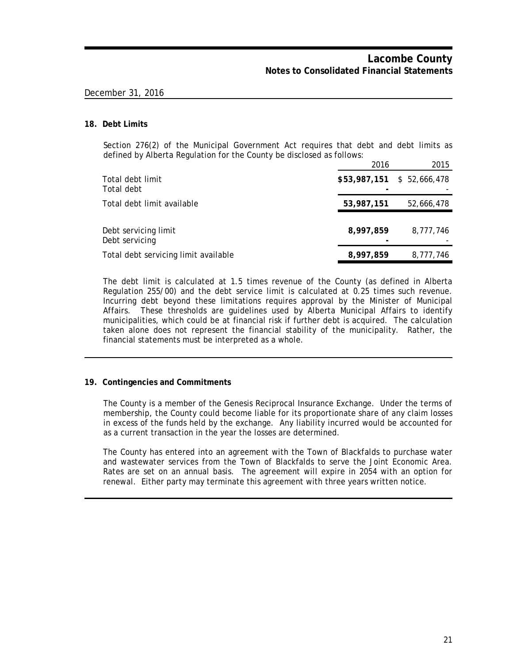### **18. Debt Limits**

Section 276(2) of the Municipal Government Act requires that debt and debt limits as defined by Alberta Regulation for the County be disclosed as follows:

|                                        | 2016                       | 2015       |  |
|----------------------------------------|----------------------------|------------|--|
| Total debt limit<br>Total debt         | \$53,987,151 \$ 52,666,478 |            |  |
| Total debt limit available             | 53,987,151                 | 52,666,478 |  |
| Debt servicing limit<br>Debt servicing | 8,997,859                  | 8,777,746  |  |
| Total debt servicing limit available   | 8,997,859                  | 8,777,746  |  |

The debt limit is calculated at 1.5 times revenue of the County (as defined in Alberta Regulation 255/00) and the debt service limit is calculated at 0.25 times such revenue. Incurring debt beyond these limitations requires approval by the Minister of Municipal Affairs. These thresholds are guidelines used by Alberta Municipal Affairs to identify municipalities, which could be at financial risk if further debt is acquired. The calculation taken alone does not represent the financial stability of the municipality. Rather, the financial statements must be interpreted as a whole.

### **19. Contingencies and Commitments**

The County is a member of the Genesis Reciprocal Insurance Exchange. Under the terms of membership, the County could become liable for its proportionate share of any claim losses in excess of the funds held by the exchange. Any liability incurred would be accounted for as a current transaction in the year the losses are determined.

The County has entered into an agreement with the Town of Blackfalds to purchase water and wastewater services from the Town of Blackfalds to serve the Joint Economic Area. Rates are set on an annual basis. The agreement will expire in 2054 with an option for renewal. Either party may terminate this agreement with three years written notice.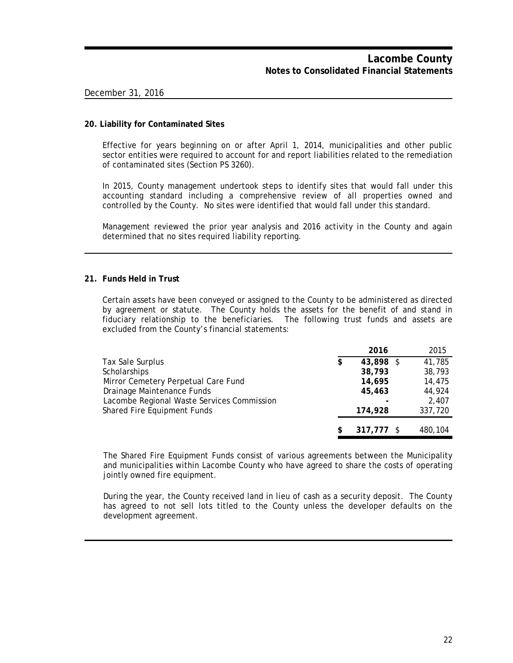### **20. Liability for Contaminated Sites**

Effective for years beginning on or after April 1, 2014, municipalities and other public sector entities were required to account for and report liabilities related to the remediation of contaminated sites (Section PS 3260).

In 2015, County management undertook steps to identify sites that would fall under this accounting standard including a comprehensive review of all properties owned and controlled by the County. No sites were identified that would fall under this standard.

Management reviewed the prior year analysis and 2016 activity in the County and again determined that no sites required liability reporting.

### **21. Funds Held in Trust**

Certain assets have been conveyed or assigned to the County to be administered as directed by agreement or statute. The County holds the assets for the benefit of and stand in fiduciary relationship to the beneficiaries. The following trust funds and assets are excluded from the County's financial statements:

|                                            | 2016            | 2015    |
|--------------------------------------------|-----------------|---------|
| Tax Sale Surplus                           | \$<br>43,898 \$ | 41,785  |
| Scholarships                               | 38,793          | 38,793  |
| Mirror Cemetery Perpetual Care Fund        | 14,695          | 14,475  |
| Drainage Maintenance Funds                 | 45,463          | 44,924  |
| Lacombe Regional Waste Services Commission |                 | 2,407   |
| Shared Fire Equipment Funds                | 174,928         | 337,720 |
|                                            |                 |         |
|                                            | $317.777$ \$    | 480.104 |

The Shared Fire Equipment Funds consist of various agreements between the Municipality and municipalities within Lacombe County who have agreed to share the costs of operating jointly owned fire equipment.

During the year, the County received land in lieu of cash as a security deposit. The County has agreed to not sell lots titled to the County unless the developer defaults on the development agreement.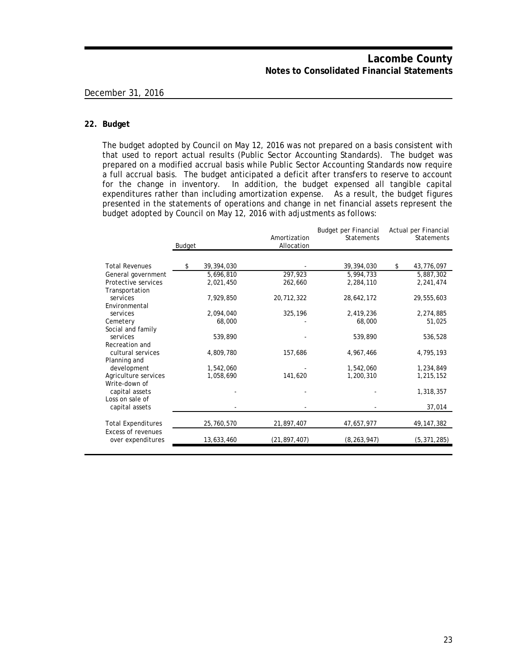### **22. Budget**

The budget adopted by Council on May 12, 2016 was not prepared on a basis consistent with that used to report actual results (Public Sector Accounting Standards). The budget was prepared on a modified accrual basis while Public Sector Accounting Standards now require a full accrual basis. The budget anticipated a deficit after transfers to reserve to account for the change in inventory. In addition, the budget expensed all tangible capital expenditures rather than including amortization expense. As a result, the budget figures presented in the statements of operations and change in net financial assets represent the budget adopted by Council on May 12, 2016 with adjustments as follows:

|                                                | Budget |            | Amortization<br>Allocation | <b>Budget per Financial</b><br>Statements | Actual per Financial<br>Statements |
|------------------------------------------------|--------|------------|----------------------------|-------------------------------------------|------------------------------------|
| <b>Total Revenues</b>                          | \$     | 39,394,030 |                            | 39,394,030                                | \$<br>43,776,097                   |
| General government                             |        | 5,696,810  | 297,923                    | 5,994,733                                 | 5,887,302                          |
| Protective services<br>Transportation          |        | 2,021,450  | 262,660                    | 2,284,110                                 | 2,241,474                          |
| services<br>Environmental                      |        | 7,929,850  | 20,712,322                 | 28,642,172                                | 29,555,603                         |
| services                                       |        | 2,094,040  | 325,196                    | 2,419,236                                 | 2,274,885                          |
| Cemetery<br>Social and family                  |        | 68,000     |                            | 68,000                                    | 51,025                             |
| services                                       |        | 539,890    |                            | 539,890                                   | 536,528                            |
| Recreation and<br>cultural services            |        | 4,809,780  | 157,686                    | 4,967,466                                 | 4,795,193                          |
| Planning and                                   |        |            |                            |                                           |                                    |
| development                                    |        | 1,542,060  |                            | 1,542,060                                 | 1,234,849                          |
| Agriculture services<br>Write-down of          |        | 1,058,690  | 141,620                    | 1,200,310                                 | 1,215,152                          |
| capital assets<br>Loss on sale of              |        |            |                            |                                           | 1,318,357                          |
| capital assets                                 |        |            |                            |                                           | 37,014                             |
| <b>Total Expenditures</b>                      |        | 25,760,570 | 21,897,407                 | 47,657,977                                | 49, 147, 382                       |
| <b>Excess of revenues</b><br>over expenditures |        | 13,633,460 | (21, 897, 407)             | (8, 263, 947)                             | (5, 371, 285)                      |
|                                                |        |            |                            |                                           |                                    |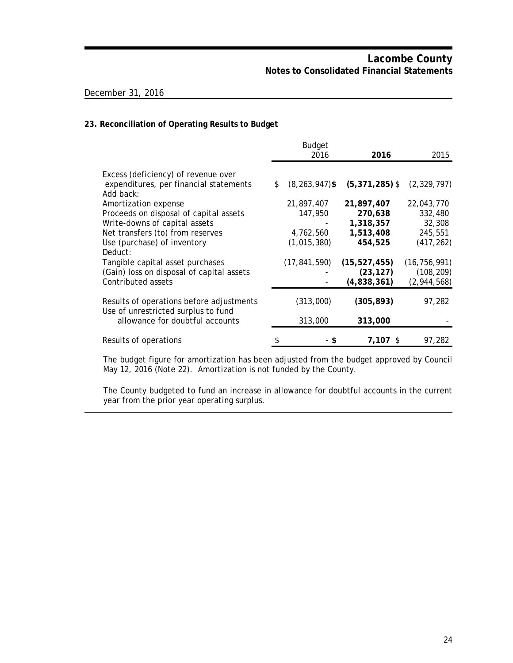### **23. Reconciliation of Operating Results to Budget**

|                                                                                 | <b>Budget</b>            |                  |                |
|---------------------------------------------------------------------------------|--------------------------|------------------|----------------|
|                                                                                 | 2016                     | 2016             | 2015           |
| Excess (deficiency) of revenue over                                             |                          |                  |                |
| expenditures, per financial statements<br>Add back:                             | \$<br>$(8, 263, 947)$ \$ | $(5,371,285)$ \$ | (2, 329, 797)  |
| Amortization expense                                                            | 21,897,407               | 21,897,407       | 22,043,770     |
| Proceeds on disposal of capital assets                                          | 147,950                  | 270,638          | 332,480        |
| Write-downs of capital assets                                                   |                          | 1,318,357        | 32,308         |
| Net transfers (to) from reserves                                                | 4,762,560                | 1,513,408        | 245,551        |
| Use (purchase) of inventory                                                     | (1,015,380)              | 454,525          | (417, 262)     |
| Deduct:                                                                         |                          |                  |                |
| Tangible capital asset purchases                                                | (17, 841, 590)           | (15, 527, 455)   | (16, 756, 991) |
| (Gain) loss on disposal of capital assets                                       |                          | (23, 127)        | (108, 209)     |
| Contributed assets                                                              |                          | (4,838,361)      | (2,944,568)    |
| Results of operations before adjustments<br>Use of unrestricted surplus to fund | (313,000)                | (305, 893)       | 97,282         |
| allowance for doubtful accounts                                                 | 313,000                  | 313,000          |                |
| Results of operations                                                           | S                        | $7.107$ \$       | 97,282         |

The budget figure for amortization has been adjusted from the budget approved by Council May 12, 2016 (Note 22). Amortization is not funded by the County.

The County budgeted to fund an increase in allowance for doubtful accounts in the current year from the prior year operating surplus.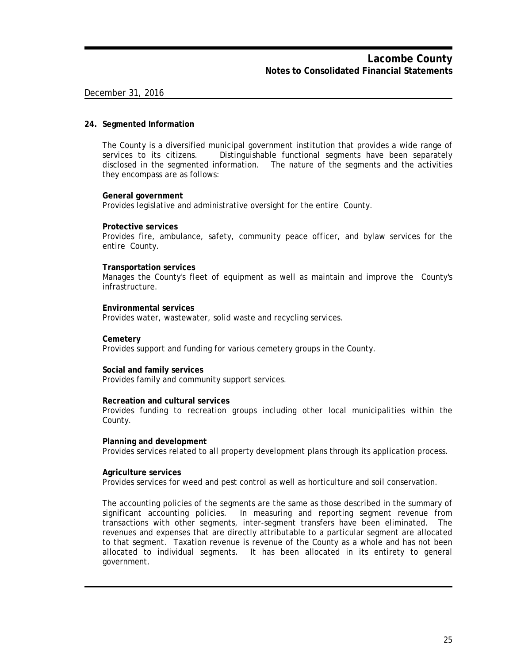### **24. Segmented Information**

The County is a diversified municipal government institution that provides a wide range of services to its citizens. Distinguishable functional segments have been separately disclosed in the segmented information. The nature of the segments and the activities they encompass are as follows:

### **General government**

Provides legislative and administrative oversight for the entire County.

### **Protective services**

Provides fire, ambulance, safety, community peace officer, and bylaw services for the entire County.

### **Transportation services**

Manages the County's fleet of equipment as well as maintain and improve the County's infrastructure.

### **Environmental services**

Provides water, wastewater, solid waste and recycling services.

### **Cemetery**

Provides support and funding for various cemetery groups in the County.

### **Social and family services**

Provides family and community support services.

### **Recreation and cultural services**

Provides funding to recreation groups including other local municipalities within the County.

### **Planning and development**

Provides services related to all property development plans through its application process.

### **Agriculture services**

Provides services for weed and pest control as well as horticulture and soil conservation.

The accounting policies of the segments are the same as those described in the summary of significant accounting policies. In measuring and reporting segment revenue from transactions with other segments, inter-segment transfers have been eliminated. The revenues and expenses that are directly attributable to a particular segment are allocated to that segment. Taxation revenue is revenue of the County as a whole and has not been allocated to individual segments. It has been allocated in its entirety to general government.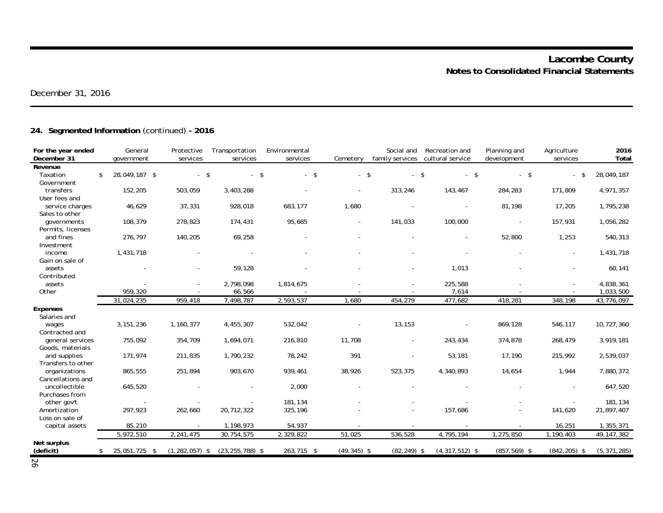# **24. Segmented Information** (continued) **- 2016**

| For the year ended<br>December 31 | General<br>government | Protective<br>services | Transportation<br>services |        | Environmental<br>services | Cemetery       | Social and<br>family services | Recreation and<br>cultural service | Planning and<br>development | Agriculture<br>services | 2016<br>Total |
|-----------------------------------|-----------------------|------------------------|----------------------------|--------|---------------------------|----------------|-------------------------------|------------------------------------|-----------------------------|-------------------------|---------------|
| Revenue                           |                       |                        |                            |        |                           |                |                               |                                    |                             |                         |               |
| Taxation                          | \$<br>28,049,187 \$   | $-5$                   |                            | $-$ \$ | $-5$                      | $-5$           | $\sim$                        | -\$<br>$-5$                        | $-$ \$                      | \$                      | 28,049,187    |
| Government                        |                       |                        |                            |        |                           |                |                               |                                    |                             |                         |               |
| transfers                         | 152,205               | 503,059                | 3,403,288                  |        |                           |                | 313,246                       | 143,467                            | 284,283                     | 171,809                 | 4,971,357     |
| User fees and                     |                       |                        |                            |        |                           |                |                               |                                    |                             |                         |               |
| service charges                   | 46,629                | 37,331                 | 928,018                    |        | 683,177                   | 1,680          |                               |                                    | 81,198                      | 17,205                  | 1,795,238     |
| Sales to other                    |                       |                        |                            |        |                           |                |                               |                                    |                             |                         |               |
| governments                       | 108,379               | 278,823                | 174,431                    |        | 95,685                    |                | 141,033                       | 100,000                            |                             | 157,931                 | 1,056,282     |
| Permits, licenses                 |                       |                        |                            |        |                           |                |                               |                                    |                             |                         |               |
| and fines                         | 276,797               | 140,205                | 69,258                     |        |                           |                |                               |                                    | 52,800                      | 1,253                   | 540,313       |
| Investment                        |                       |                        |                            |        |                           |                |                               |                                    |                             |                         |               |
| income                            | 1,431,718             |                        |                            |        |                           |                |                               |                                    |                             |                         | 1,431,718     |
| Gain on sale of                   |                       |                        |                            |        |                           |                |                               |                                    |                             |                         |               |
| assets                            |                       |                        | 59,128                     |        |                           |                |                               | 1,013                              |                             |                         | 60,141        |
| Contributed                       |                       |                        |                            |        |                           |                |                               |                                    |                             |                         |               |
| assets                            |                       |                        | 2,798,098                  |        | 1,814,675                 |                |                               | 225,588                            |                             |                         | 4,838,361     |
| Other                             | 959,320               |                        | 66,566                     |        |                           |                |                               | 7,614                              |                             |                         | 1,033,500     |
|                                   | 31,024,235            | 959,418                | 7,498,787                  |        | 2,593,537                 | 1,680          | 454,279                       | 477,682                            | 418,281                     | 348,198                 | 43,776,097    |
| <b>Expenses</b>                   |                       |                        |                            |        |                           |                |                               |                                    |                             |                         |               |
| Salaries and                      |                       |                        |                            |        |                           |                |                               |                                    |                             |                         |               |
| wages                             | 3, 151, 236           | 1,160,377              | 4,455,307                  |        | 532,042                   |                | 13,153                        |                                    | 869,128                     | 546,117                 | 10,727,360    |
| Contracted and                    |                       |                        |                            |        |                           |                |                               |                                    |                             |                         |               |
| general services                  | 755,092               | 354,709                | 1,694,071                  |        | 216,810                   | 11,708         |                               | 243,434                            | 374,878                     | 268,479                 | 3,919,181     |
| Goods, materials                  |                       |                        |                            |        |                           |                |                               |                                    |                             |                         |               |
| and supplies                      | 171,974               | 211,835                | 1,790,232                  |        | 78,242                    | 391            | $\blacksquare$                | 53,181                             | 17,190                      | 215,992                 | 2,539,037     |
| Transfers to other                |                       |                        |                            |        |                           |                |                               |                                    |                             |                         |               |
| organizations                     | 865,555               | 251,894                | 903,670                    |        | 939,461                   | 38,926         | 523,375                       | 4,340,893                          | 14,654                      | 1,944                   | 7,880,372     |
| Cancellations and                 |                       |                        |                            |        |                           |                |                               |                                    |                             |                         |               |
| uncollectible                     | 645,520               |                        |                            |        | 2,000                     |                |                               |                                    |                             |                         | 647,520       |
| Purchases from                    |                       |                        |                            |        |                           |                |                               |                                    |                             |                         |               |
| other gov't                       |                       |                        |                            |        | 181,134                   |                |                               |                                    |                             |                         | 181,134       |
| Amortization                      | 297,923               | 262,660                | 20,712,322                 |        | 325,196                   |                |                               | 157,686                            |                             | 141,620                 | 21,897,407    |
| Loss on sale of                   |                       |                        |                            |        |                           |                |                               |                                    |                             |                         |               |
| capital assets                    | 85,210                |                        | 1,198,973                  |        | 54,937                    |                |                               |                                    |                             | 16,251                  | 1,355,371     |
|                                   | 5,972,510             | 2,241,475              | 30,754,575                 |        | 2,329,822                 | 51,025         | 536,528                       | 4,795,194                          | 1,275,850                   | 1,190,403               | 49, 147, 382  |
| Net surplus<br>(deficit)          | 25,051,725 \$         | $(1, 282, 057)$ \$     | $(23, 255, 788)$ \$        |        | 263,715 \$                | $(49, 345)$ \$ | $(82, 249)$ \$                | $(4,317,512)$ \$                   | $(857, 569)$ \$             | $(842, 205)$ \$         | (5, 371, 285) |

26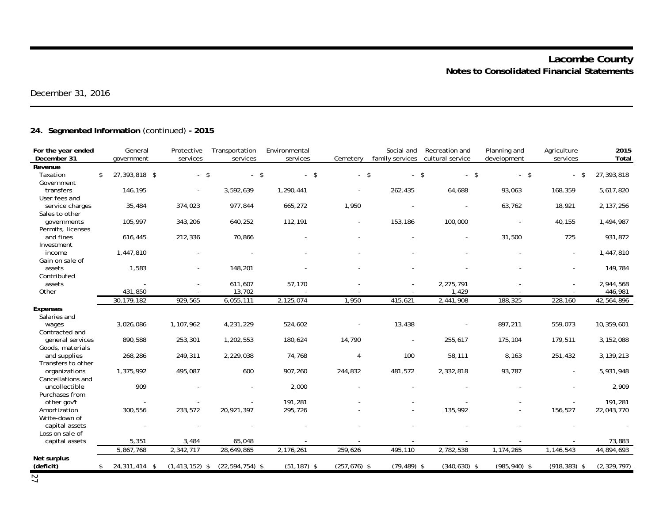# **24. Segmented Information** (continued) **- 2015**

| For the year ended<br>December 31 | General<br>government |           | Protective<br>services | Transportation<br>services | Environmental<br>services | Cemetery        | Social and<br>family services | Recreation and<br>cultural service | Planning and<br>development | Agriculture<br>services | 2015<br>Total |
|-----------------------------------|-----------------------|-----------|------------------------|----------------------------|---------------------------|-----------------|-------------------------------|------------------------------------|-----------------------------|-------------------------|---------------|
| Revenue                           |                       |           |                        |                            |                           |                 |                               |                                    |                             |                         |               |
| Taxation<br>\$                    | 27,393,818 \$         |           | $-5$                   | $-$ \$                     | $-5$                      |                 | $-$ \$<br>$\sim$              | $\mathbf{s}$<br>$-$ \$             | $-5$                        | \$<br>$\sim$            | 27,393,818    |
| Government                        |                       |           |                        |                            |                           |                 |                               |                                    |                             |                         |               |
| transfers                         | 146,195               |           |                        | 3,592,639                  | 1,290,441                 |                 | 262,435                       | 64,688                             | 93,063                      | 168,359                 | 5,617,820     |
| User fees and                     |                       |           |                        |                            |                           |                 |                               |                                    |                             |                         |               |
| service charges                   | 35,484                |           | 374,023                | 977,844                    | 665,272                   | 1,950           |                               |                                    | 63,762                      | 18,921                  | 2,137,256     |
| Sales to other                    |                       |           |                        |                            |                           |                 |                               |                                    |                             |                         |               |
| governments                       | 105,997               |           | 343,206                | 640,252                    | 112,191                   |                 | 153,186                       | 100,000                            |                             | 40,155                  | 1,494,987     |
| Permits, licenses<br>and fines    |                       |           |                        |                            |                           |                 |                               |                                    |                             | 725                     |               |
| Investment                        | 616,445               |           | 212,336                | 70,866                     |                           |                 |                               |                                    | 31,500                      |                         | 931,872       |
| income                            | 1,447,810             |           |                        |                            |                           |                 |                               |                                    |                             |                         | 1,447,810     |
| Gain on sale of                   |                       |           |                        |                            |                           |                 |                               |                                    |                             |                         |               |
| assets                            | 1,583                 |           |                        | 148,201                    |                           |                 |                               |                                    |                             |                         | 149,784       |
| Contributed                       |                       |           |                        |                            |                           |                 |                               |                                    |                             |                         |               |
| assets                            |                       |           |                        | 611,607                    | 57,170                    |                 |                               | 2,275,791                          |                             |                         | 2,944,568     |
| Other                             | 431,850               |           |                        | 13,702                     |                           |                 |                               | 1,429                              |                             |                         | 446,981       |
|                                   | 30, 179, 182          |           | 929,565                | 6,055,111                  | 2,125,074                 | 1,950           | 415,621                       | 2,441,908                          | 188,325                     | 228,160                 | 42,564,896    |
| <b>Expenses</b>                   |                       |           |                        |                            |                           |                 |                               |                                    |                             |                         |               |
| Salaries and                      |                       |           |                        |                            |                           |                 |                               |                                    |                             |                         |               |
| wages                             | 3,026,086             | 1,107,962 |                        | 4,231,229                  | 524,602                   |                 | 13,438                        |                                    | 897,211                     | 559,073                 | 10,359,601    |
| Contracted and                    |                       |           |                        |                            |                           |                 |                               |                                    |                             |                         |               |
| general services                  | 890,588               |           | 253,301                | 1,202,553                  | 180,624                   | 14,790          |                               | 255,617                            | 175,104                     | 179,511                 | 3,152,088     |
| Goods, materials                  |                       |           |                        |                            |                           |                 |                               |                                    |                             |                         |               |
| and supplies                      | 268,286               |           | 249,311                | 2,229,038                  | 74,768                    | $\overline{4}$  | 100                           | 58,111                             | 8,163                       | 251,432                 | 3,139,213     |
| Transfers to other                |                       |           |                        |                            |                           |                 |                               |                                    |                             |                         |               |
| organizations                     | 1,375,992             |           | 495,087                | 600                        | 907,260                   | 244,832         | 481,572                       | 2,332,818                          | 93,787                      |                         | 5,931,948     |
| Cancellations and                 |                       |           |                        |                            |                           |                 |                               |                                    |                             |                         |               |
| uncollectible<br>Purchases from   | 909                   |           |                        |                            | 2,000                     |                 |                               |                                    |                             |                         | 2,909         |
| other gov't                       |                       |           |                        |                            | 191,281                   |                 |                               |                                    |                             |                         | 191,281       |
| Amortization                      | 300,556               |           | 233,572                | 20,921,397                 | 295,726                   |                 |                               | 135,992                            |                             | 156,527                 | 22,043,770    |
| Write-down of                     |                       |           |                        |                            |                           |                 |                               |                                    |                             |                         |               |
| capital assets                    |                       |           |                        |                            |                           |                 |                               |                                    |                             |                         |               |
| Loss on sale of                   |                       |           |                        |                            |                           |                 |                               |                                    |                             |                         |               |
| capital assets                    | 5,351                 |           | 3,484                  | 65,048                     |                           |                 |                               |                                    |                             |                         | 73,883        |
|                                   | 5,867,768             | 2,342,717 |                        | 28,649,865                 | 2,176,261                 | 259,626         | 495,110                       | 2,782,538                          | 1,174,265                   | 1,146,543               | 44,894,693    |
| Net surplus                       |                       |           |                        |                            |                           |                 |                               |                                    |                             |                         |               |
| (deficit)                         | 24,311,414 \$<br>\$   |           | $(1, 413, 152)$ \$     | $(22, 594, 754)$ \$        | $(51, 187)$ \$            | $(257, 676)$ \$ | $(79, 489)$ \$                | $(340, 630)$ \$                    | $(985, 940)$ \$             | $(918, 383)$ \$         | (2, 329, 797) |